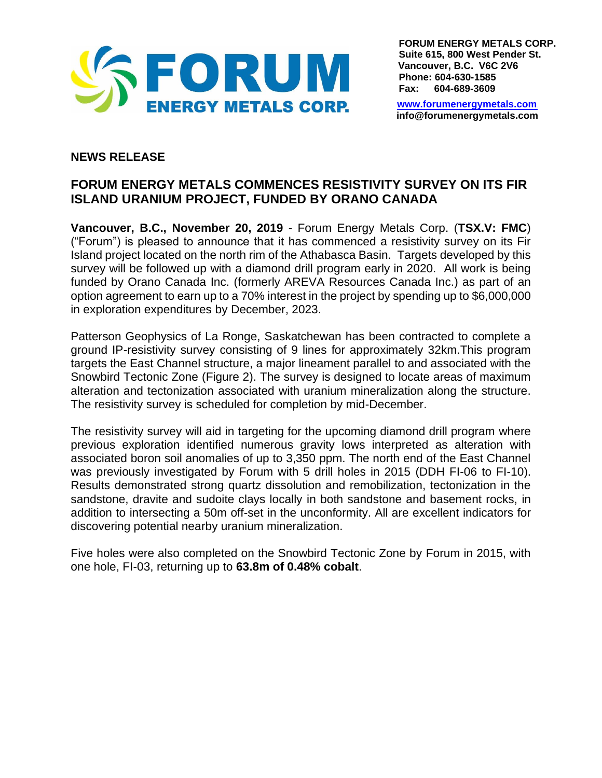

**FORUM ENERGY METALS CORP. Suite 615, 800 West Pender St. Vancouver, B.C. V6C 2V6 Phone: 604-630-1585 Fax: 604-689-3609**

[www.forumenergymetals.com](http://www.forumenergymetals.comu/) **info@forumenergymetals.com**

## **NEWS RELEASE**

# **FORUM ENERGY METALS COMMENCES RESISTIVITY SURVEY ON ITS FIR ISLAND URANIUM PROJECT, FUNDED BY ORANO CANADA**

**Vancouver, B.C., November 20, 2019** - Forum Energy Metals Corp. (**TSX.V: FMC**) ("Forum") is pleased to announce that it has commenced a resistivity survey on its Fir Island project located on the north rim of the Athabasca Basin. Targets developed by this survey will be followed up with a diamond drill program early in 2020. All work is being funded by Orano Canada Inc. (formerly AREVA Resources Canada Inc.) as part of an option agreement to earn up to a 70% interest in the project by spending up to \$6,000,000 in exploration expenditures by December, 2023.

Patterson Geophysics of La Ronge, Saskatchewan has been contracted to complete a ground IP-resistivity survey consisting of 9 lines for approximately 32km.This program targets the East Channel structure, a major lineament parallel to and associated with the Snowbird Tectonic Zone (Figure 2). The survey is designed to locate areas of maximum alteration and tectonization associated with uranium mineralization along the structure. The resistivity survey is scheduled for completion by mid-December.

The resistivity survey will aid in targeting for the upcoming diamond drill program where previous exploration identified numerous gravity lows interpreted as alteration with associated boron soil anomalies of up to 3,350 ppm. The north end of the East Channel was previously investigated by Forum with 5 drill holes in 2015 (DDH FI-06 to FI-10). Results demonstrated strong quartz dissolution and remobilization, tectonization in the sandstone, dravite and sudoite clays locally in both sandstone and basement rocks, in addition to intersecting a 50m off-set in the unconformity. All are excellent indicators for discovering potential nearby uranium mineralization.

Five holes were also completed on the Snowbird Tectonic Zone by Forum in 2015, with one hole, FI-03, returning up to **63.8m of 0.48% cobalt**.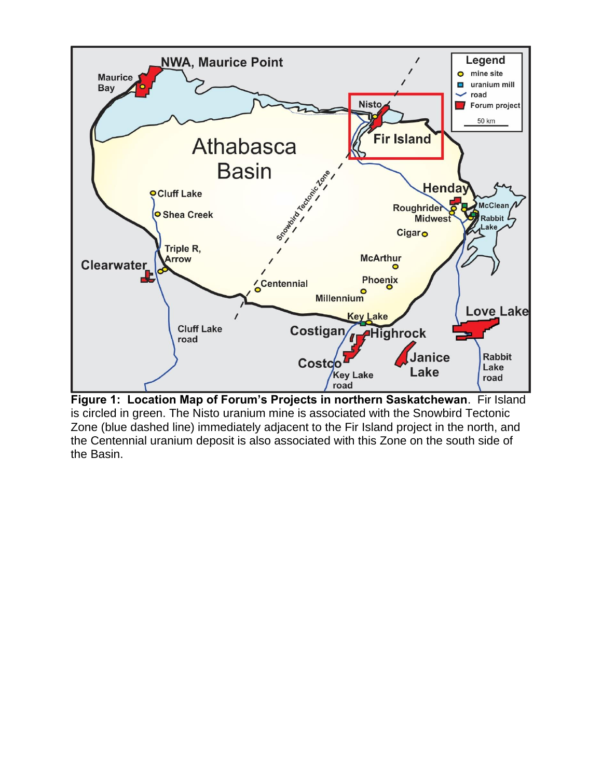

**Figure 1: Location Map of Forum's Projects in northern Saskatchewan**. Fir Island is circled in green. The Nisto uranium mine is associated with the Snowbird Tectonic Zone (blue dashed line) immediately adjacent to the Fir Island project in the north, and the Centennial uranium deposit is also associated with this Zone on the south side of the Basin.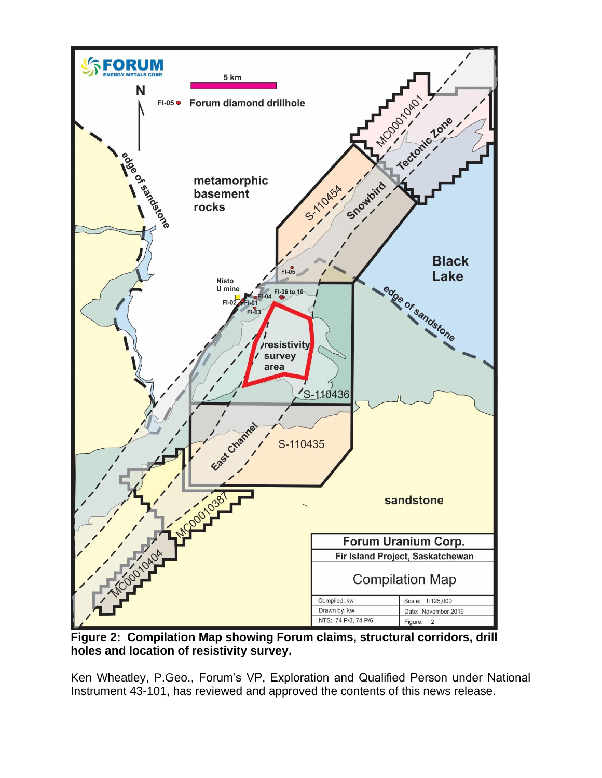

**Figure 2: Compilation Map showing Forum claims, structural corridors, drill holes and location of resistivity survey.**

Ken Wheatley, P.Geo., Forum's VP, Exploration and Qualified Person under National Instrument 43-101, has reviewed and approved the contents of this news release.